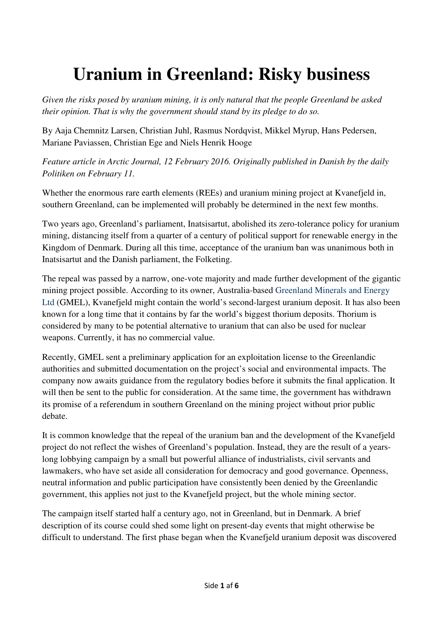## **Uranium in Greenland: Risky business**

*Given the risks posed by uranium mining, it is only natural that the people Greenland be asked their opinion. That is why the government should stand by its pledge to do so.* 

By Aaja Chemnitz Larsen, Christian Juhl, Rasmus Nordqvist, Mikkel Myrup, Hans Pedersen, Mariane Paviassen, Christian Ege and Niels Henrik Hooge

*Feature article in Arctic Journal, 12 February 2016. Originally published in Danish by the daily Politiken on February 11.* 

Whether the enormous rare earth elements (REEs) and uranium mining project at Kvanefjeld in, southern Greenland, can be implemented will probably be determined in the next few months.

Two years ago, Greenland's parliament, Inatsisartut, abolished its zero-tolerance policy for uranium mining, distancing itself from a quarter of a century of political support for renewable energy in the Kingdom of Denmark. During all this time, acceptance of the uranium ban was unanimous both in Inatsisartut and the Danish parliament, the Folketing.

The repeal was passed by a narrow, one-vote majority and made further development of the gigantic mining project possible. According to its owner, Australia-based Greenland Minerals and Energy Ltd (GMEL), Kvanefjeld might contain the world's second-largest uranium deposit. It has also been known for a long time that it contains by far the world's biggest thorium deposits. Thorium is considered by many to be potential alternative to uranium that can also be used for nuclear weapons. Currently, it has no commercial value.

Recently, GMEL sent a preliminary application for an exploitation license to the Greenlandic authorities and submitted documentation on the project's social and environmental impacts. The company now awaits guidance from the regulatory bodies before it submits the final application. It will then be sent to the public for consideration. At the same time, the government has withdrawn its promise of a referendum in southern Greenland on the mining project without prior public debate.

It is common knowledge that the repeal of the uranium ban and the development of the Kvanefjeld project do not reflect the wishes of Greenland's population. Instead, they are the result of a yearslong lobbying campaign by a small but powerful alliance of industrialists, civil servants and lawmakers, who have set aside all consideration for democracy and good governance. Openness, neutral information and public participation have consistently been denied by the Greenlandic government, this applies not just to the Kvanefjeld project, but the whole mining sector.

The campaign itself started half a century ago, not in Greenland, but in Denmark. A brief description of its course could shed some light on present-day events that might otherwise be difficult to understand. The first phase began when the Kvanefjeld uranium deposit was discovered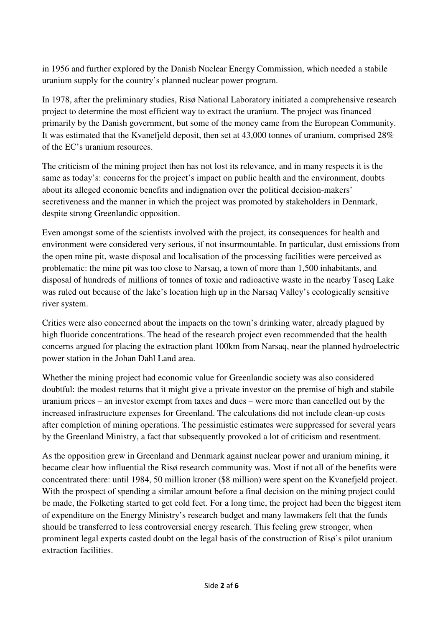in 1956 and further explored by the Danish Nuclear Energy Commission, which needed a stabile uranium supply for the country's planned nuclear power program.

In 1978, after the preliminary studies, Risø National Laboratory initiated a comprehensive research project to determine the most efficient way to extract the uranium. The project was financed primarily by the Danish government, but some of the money came from the European Community. It was estimated that the Kvanefjeld deposit, then set at 43,000 tonnes of uranium, comprised 28% of the EC's uranium resources.

The criticism of the mining project then has not lost its relevance, and in many respects it is the same as today's: concerns for the project's impact on public health and the environment, doubts about its alleged economic benefits and indignation over the political decision-makers' secretiveness and the manner in which the project was promoted by stakeholders in Denmark, despite strong Greenlandic opposition.

Even amongst some of the scientists involved with the project, its consequences for health and environment were considered very serious, if not insurmountable. In particular, dust emissions from the open mine pit, waste disposal and localisation of the processing facilities were perceived as problematic: the mine pit was too close to Narsaq, a town of more than 1,500 inhabitants, and disposal of hundreds of millions of tonnes of toxic and radioactive waste in the nearby Taseq Lake was ruled out because of the lake's location high up in the Narsaq Valley's ecologically sensitive river system.

Critics were also concerned about the impacts on the town's drinking water, already plagued by high fluoride concentrations. The head of the research project even recommended that the health concerns argued for placing the extraction plant 100km from Narsaq, near the planned hydroelectric power station in the Johan Dahl Land area.

Whether the mining project had economic value for Greenlandic society was also considered doubtful: the modest returns that it might give a private investor on the premise of high and stabile uranium prices – an investor exempt from taxes and dues – were more than cancelled out by the increased infrastructure expenses for Greenland. The calculations did not include clean-up costs after completion of mining operations. The pessimistic estimates were suppressed for several years by the Greenland Ministry, a fact that subsequently provoked a lot of criticism and resentment.

As the opposition grew in Greenland and Denmark against nuclear power and uranium mining, it became clear how influential the Risø research community was. Most if not all of the benefits were concentrated there: until 1984, 50 million kroner (\$8 million) were spent on the Kvanefjeld project. With the prospect of spending a similar amount before a final decision on the mining project could be made, the Folketing started to get cold feet. For a long time, the project had been the biggest item of expenditure on the Energy Ministry's research budget and many lawmakers felt that the funds should be transferred to less controversial energy research. This feeling grew stronger, when prominent legal experts casted doubt on the legal basis of the construction of Risø's pilot uranium extraction facilities.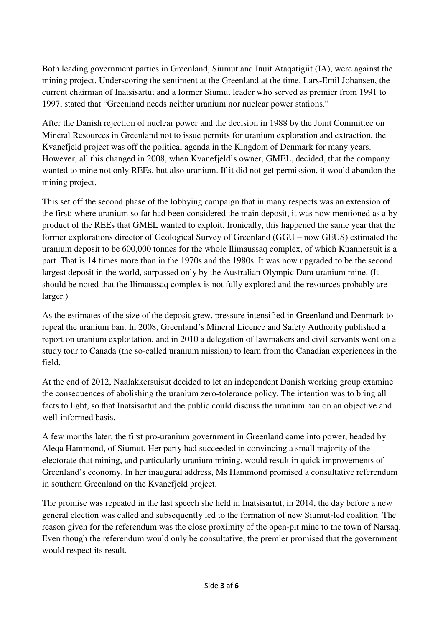Both leading government parties in Greenland, Siumut and Inuit Ataqatigiit (IA), were against the mining project. Underscoring the sentiment at the Greenland at the time, Lars-Emil Johansen, the current chairman of Inatsisartut and a former Siumut leader who served as premier from 1991 to 1997, stated that "Greenland needs neither uranium nor nuclear power stations."

After the Danish rejection of nuclear power and the decision in 1988 by the Joint Committee on Mineral Resources in Greenland not to issue permits for uranium exploration and extraction, the Kvanefjeld project was off the political agenda in the Kingdom of Denmark for many years. However, all this changed in 2008, when Kvanefjeld's owner, GMEL, decided, that the company wanted to mine not only REEs, but also uranium. If it did not get permission, it would abandon the mining project.

This set off the second phase of the lobbying campaign that in many respects was an extension of the first: where uranium so far had been considered the main deposit, it was now mentioned as a byproduct of the REEs that GMEL wanted to exploit. Ironically, this happened the same year that the former explorations director of Geological Survey of Greenland (GGU – now GEUS) estimated the uranium deposit to be 600,000 tonnes for the whole Ilimaussaq complex, of which Kuannersuit is a part. That is 14 times more than in the 1970s and the 1980s. It was now upgraded to be the second largest deposit in the world, surpassed only by the Australian Olympic Dam uranium mine. (It should be noted that the Ilimaussaq complex is not fully explored and the resources probably are larger.)

As the estimates of the size of the deposit grew, pressure intensified in Greenland and Denmark to repeal the uranium ban. In 2008, Greenland's Mineral Licence and Safety Authority published a report on uranium exploitation, and in 2010 a delegation of lawmakers and civil servants went on a study tour to Canada (the so-called uranium mission) to learn from the Canadian experiences in the field.

At the end of 2012, Naalakkersuisut decided to let an independent Danish working group examine the consequences of abolishing the uranium zero-tolerance policy. The intention was to bring all facts to light, so that Inatsisartut and the public could discuss the uranium ban on an objective and well-informed basis.

A few months later, the first pro-uranium government in Greenland came into power, headed by Aleqa Hammond, of Siumut. Her party had succeeded in convincing a small majority of the electorate that mining, and particularly uranium mining, would result in quick improvements of Greenland's economy. In her inaugural address, Ms Hammond promised a consultative referendum in southern Greenland on the Kvanefjeld project.

The promise was repeated in the last speech she held in Inatsisartut, in 2014, the day before a new general election was called and subsequently led to the formation of new Siumut-led coalition. The reason given for the referendum was the close proximity of the open-pit mine to the town of Narsaq. Even though the referendum would only be consultative, the premier promised that the government would respect its result.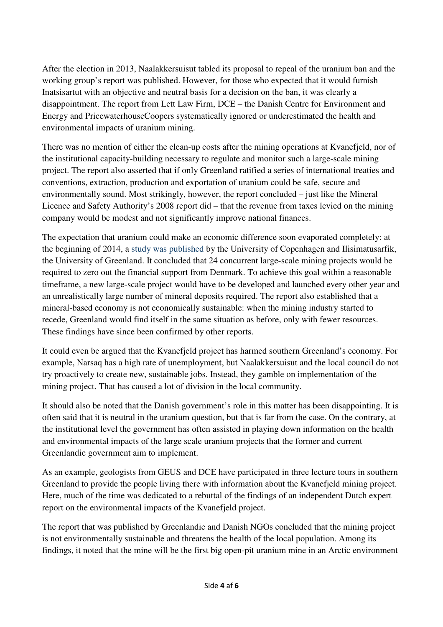After the election in 2013, Naalakkersuisut tabled its proposal to repeal of the uranium ban and the working group's report was published. However, for those who expected that it would furnish Inatsisartut with an objective and neutral basis for a decision on the ban, it was clearly a disappointment. The report from Lett Law Firm, DCE – the Danish Centre for Environment and Energy and PricewaterhouseCoopers systematically ignored or underestimated the health and environmental impacts of uranium mining.

There was no mention of either the clean-up costs after the mining operations at Kvanefjeld, nor of the institutional capacity-building necessary to regulate and monitor such a large-scale mining project. The report also asserted that if only Greenland ratified a series of international treaties and conventions, extraction, production and exportation of uranium could be safe, secure and environmentally sound. Most strikingly, however, the report concluded – just like the Mineral Licence and Safety Authority's 2008 report did – that the revenue from taxes levied on the mining company would be modest and not significantly improve national finances.

The expectation that uranium could make an economic difference soon evaporated completely: at the beginning of 2014, a study was published by the University of Copenhagen and Ilisimatusarfik, the University of Greenland. It concluded that 24 concurrent large-scale mining projects would be required to zero out the financial support from Denmark. To achieve this goal within a reasonable timeframe, a new large-scale project would have to be developed and launched every other year and an unrealistically large number of mineral deposits required. The report also established that a mineral-based economy is not economically sustainable: when the mining industry started to recede, Greenland would find itself in the same situation as before, only with fewer resources. These findings have since been confirmed by other reports.

It could even be argued that the Kvanefjeld project has harmed southern Greenland's economy. For example, Narsaq has a high rate of unemployment, but Naalakkersuisut and the local council do not try proactively to create new, sustainable jobs. Instead, they gamble on implementation of the mining project. That has caused a lot of division in the local community.

It should also be noted that the Danish government's role in this matter has been disappointing. It is often said that it is neutral in the uranium question, but that is far from the case. On the contrary, at the institutional level the government has often assisted in playing down information on the health and environmental impacts of the large scale uranium projects that the former and current Greenlandic government aim to implement.

As an example, geologists from GEUS and DCE have participated in three lecture tours in southern Greenland to provide the people living there with information about the Kvanefjeld mining project. Here, much of the time was dedicated to a rebuttal of the findings of an independent Dutch expert report on the environmental impacts of the Kvanefjeld project.

The report that was published by Greenlandic and Danish NGOs concluded that the mining project is not environmentally sustainable and threatens the health of the local population. Among its findings, it noted that the mine will be the first big open-pit uranium mine in an Arctic environment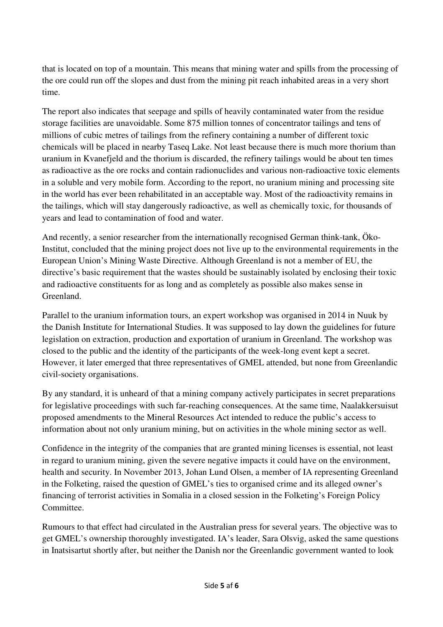that is located on top of a mountain. This means that mining water and spills from the processing of the ore could run off the slopes and dust from the mining pit reach inhabited areas in a very short time.

The report also indicates that seepage and spills of heavily contaminated water from the residue storage facilities are unavoidable. Some 875 million tonnes of concentrator tailings and tens of millions of cubic metres of tailings from the refinery containing a number of different toxic chemicals will be placed in nearby Taseq Lake. Not least because there is much more thorium than uranium in Kvanefjeld and the thorium is discarded, the refinery tailings would be about ten times as radioactive as the ore rocks and contain radionuclides and various non-radioactive toxic elements in a soluble and very mobile form. According to the report, no uranium mining and processing site in the world has ever been rehabilitated in an acceptable way. Most of the radioactivity remains in the tailings, which will stay dangerously radioactive, as well as chemically toxic, for thousands of years and lead to contamination of food and water.

And recently, a senior researcher from the internationally recognised German think-tank, Öko-Institut, concluded that the mining project does not live up to the environmental requirements in the European Union's Mining Waste Directive. Although Greenland is not a member of EU, the directive's basic requirement that the wastes should be sustainably isolated by enclosing their toxic and radioactive constituents for as long and as completely as possible also makes sense in Greenland.

Parallel to the uranium information tours, an expert workshop was organised in 2014 in Nuuk by the Danish Institute for International Studies. It was supposed to lay down the guidelines for future legislation on extraction, production and exportation of uranium in Greenland. The workshop was closed to the public and the identity of the participants of the week-long event kept a secret. However, it later emerged that three representatives of GMEL attended, but none from Greenlandic civil-society organisations.

By any standard, it is unheard of that a mining company actively participates in secret preparations for legislative proceedings with such far-reaching consequences. At the same time, Naalakkersuisut proposed amendments to the Mineral Resources Act intended to reduce the public's access to information about not only uranium mining, but on activities in the whole mining sector as well.

Confidence in the integrity of the companies that are granted mining licenses is essential, not least in regard to uranium mining, given the severe negative impacts it could have on the environment, health and security. In November 2013, Johan Lund Olsen, a member of IA representing Greenland in the Folketing, raised the question of GMEL's ties to organised crime and its alleged owner's financing of terrorist activities in Somalia in a closed session in the Folketing's Foreign Policy Committee.

Rumours to that effect had circulated in the Australian press for several years. The objective was to get GMEL's ownership thoroughly investigated. IA's leader, Sara Olsvig, asked the same questions in Inatsisartut shortly after, but neither the Danish nor the Greenlandic government wanted to look